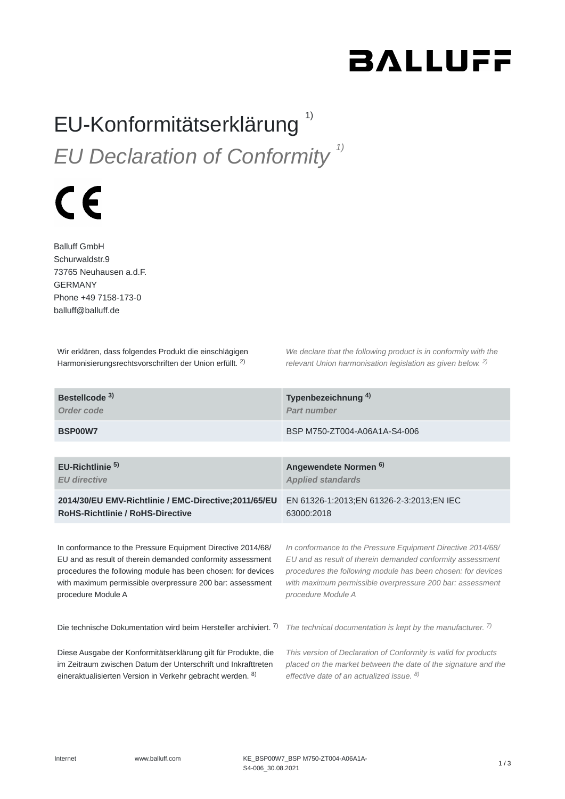# **BALLUFF**

#### EU-Konformitätserklärung<sup>1)</sup> *EU Declaration of Conformity 1)*

# $\epsilon$

Balluff GmbH Schurwaldstr.9 73765 Neuhausen a.d.F. GERMANY Phone +49 7158-173-0 balluff@balluff.de

Wir erklären, dass folgendes Produkt die einschlägigen Harmonisierungsrechtsvorschriften der Union erfüllt. <sup>2)</sup>

*We declare that the following product is in conformity with the relevant Union harmonisation legislation as given below.*  2) *2)*

| Bestellcode <sup>3)</sup>                                        | Typenbezeichnung <sup>4)</sup>                                  |
|------------------------------------------------------------------|-----------------------------------------------------------------|
| Order code                                                       | Part number                                                     |
| BSP00W7                                                          | BSP M750-ZT004-A06A1A-S4-006                                    |
| EU-Richtlinie <sup>5)</sup>                                      | Angewendete Normen <sup>6)</sup>                                |
| <b>EU</b> directive                                              | <b>Applied standards</b>                                        |
| 2014/30/EU EMV-Richtlinie / EMC-Directive;2011/65/EU             | EN 61326-1:2013;EN 61326-2-3:2013;EN IEC                        |
| <b>RoHS-Richtlinie / RoHS-Directive</b>                          | 63000:2018                                                      |
| In conformance to the Pressure Equipment Directive 2014/68/      | In conformance to the Pressure Equipment Directive 2014/68/     |
| EU and as result of therein demanded conformity assessment       | EU and as result of therein demanded conformity assessment      |
| procedures the following module has been chosen: for devices     | procedures the following module has been chosen: for devices    |
| with maximum permissible overpressure 200 bar: assessment        | with maximum permissible overpressure 200 bar: assessment       |
| procedure Module A                                               | procedure Module A                                              |
| Die technische Dokumentation wird beim Hersteller archiviert. 7) | The technical documentation is kept by the manufacturer. $7$ )  |
| Diese Ausgabe der Konformitätserklärung gilt für Produkte, die   | This version of Declaration of Conformity is valid for products |
| im Zeitraum zwischen Datum der Unterschrift und Inkrafttreten    | placed on the market between the date of the signature and the  |
| eineraktualisierten Version in Verkehr gebracht werden. 8)       | effective date of an actualized issue. <sup>8)</sup>            |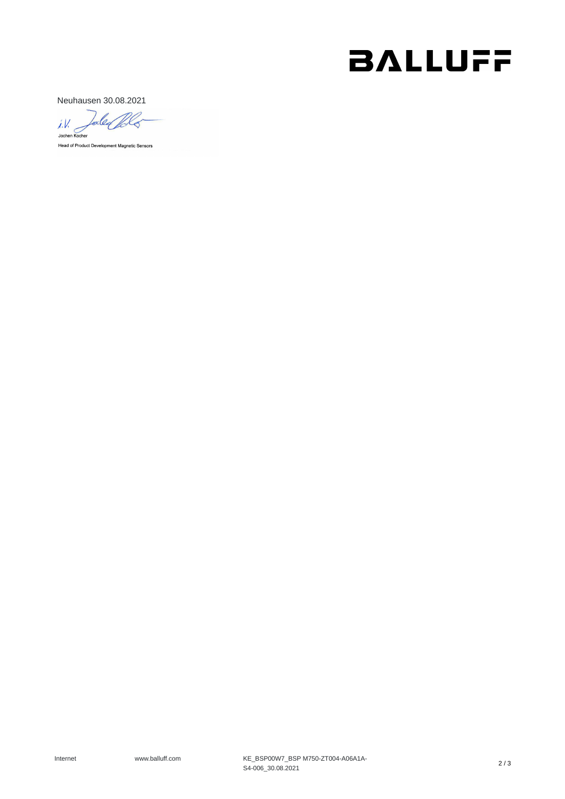### **BALLUFF**

Neuhausen 30.08.2021

Tales Pola  $\frac{1}{10}$ Head of Product Development Magnetic Sensors